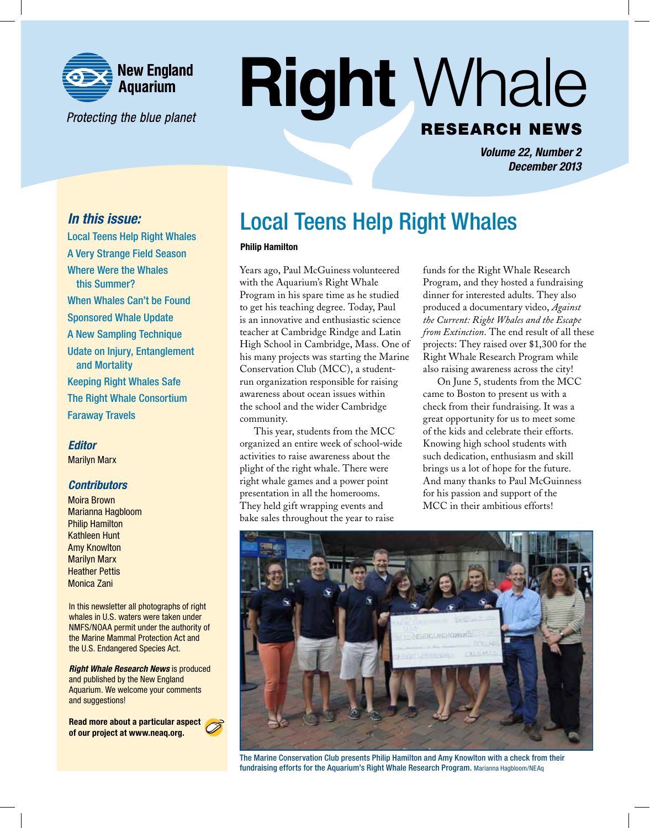

Protecting the blue planet

# **Right Whale RESEARCH NEWS**

*Volume 22, Number 2 December 2013*

# *In this issue:*

Local Teens Help Right Whales A Very Strange Field Season Where Were the Whales this Summer? When Whales Can't be Found Sponsored Whale Update A New Sampling Technique Udate on Injury, Entanglement and Mortality Keeping Right Whales Safe The Right Whale Consortium Faraway Travels

# *Editor*

Marilyn Marx

# *Contributors*

Moira Brown Marianna Hagbloom Philip Hamilton Kathleen Hunt Amy Knowlton Marilyn Marx Heather Pettis Monica Zani

In this newsletter all photographs of right whales in U.S. waters were taken under NMFS/NOAA permit under the authority of the Marine Mammal Protection Act and the U.S. Endangered Species Act.

*Right Whale Research News* is produced and published by the New England Aquarium. We welcome your comments and suggestions!

Read more about a particular aspect of our project at www.neaq.org.

# Local Teens Help Right Whales

### Philip Hamilton

Years ago, Paul McGuiness volunteered with the Aquarium's Right Whale Program in his spare time as he studied to get his teaching degree. Today, Paul is an innovative and enthusiastic science teacher at Cambridge Rindge and Latin High School in Cambridge, Mass. One of his many projects was starting the Marine Conservation Club (MCC), a studentrun organization responsible for raising awareness about ocean issues within the school and the wider Cambridge community.

This year, students from the MCC organized an entire week of school-wide activities to raise awareness about the plight of the right whale. There were right whale games and a power point presentation in all the homerooms. They held gift wrapping events and bake sales throughout the year to raise

funds for the Right Whale Research Program, and they hosted a fundraising dinner for interested adults. They also produced a documentary video, *Against the Current: Right Whales and the Escape from Extinction*. The end result of all these projects: They raised over \$1,300 for the Right Whale Research Program while also raising awareness across the city!

On June 5, students from the MCC came to Boston to present us with a check from their fundraising. It was a great opportunity for us to meet some of the kids and celebrate their efforts. Knowing high school students with such dedication, enthusiasm and skill brings us a lot of hope for the future. And many thanks to Paul McGuinness for his passion and support of the MCC in their ambitious efforts!



The Marine Conservation Club presents Philip Hamilton and Amy Knowlton with a check from their fundraising efforts for the Aquarium's Right Whale Research Program. Marianna Hagbloom/NEAq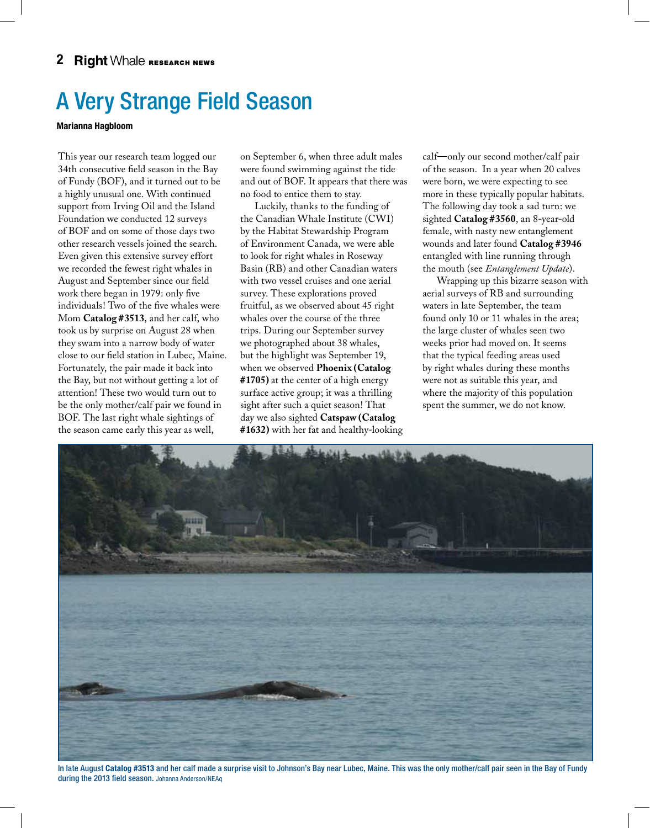# A Very Strange Field Season

### Marianna Hagbloom

This year our research team logged our 34th consecutive field season in the Bay of Fundy (BOF), and it turned out to be a highly unusual one. With continued support from Irving Oil and the Island Foundation we conducted 12 surveys of BOF and on some of those days two other research vessels joined the search. Even given this extensive survey effort we recorded the fewest right whales in August and September since our field work there began in 1979: only five individuals! Two of the five whales were Mom **Catalog #3513**, and her calf, who took us by surprise on August 28 when they swam into a narrow body of water close to our field station in Lubec, Maine. Fortunately, the pair made it back into the Bay, but not without getting a lot of attention! These two would turn out to be the only mother/calf pair we found in BOF. The last right whale sightings of the season came early this year as well,

on September 6, when three adult males were found swimming against the tide and out of BOF. It appears that there was no food to entice them to stay.

Luckily, thanks to the funding of the Canadian Whale Institute (CWI) by the Habitat Stewardship Program of Environment Canada, we were able to look for right whales in Roseway Basin (RB) and other Canadian waters with two vessel cruises and one aerial survey. These explorations proved fruitful, as we observed about 45 right whales over the course of the three trips. During our September survey we photographed about 38 whales, but the highlight was September 19, when we observed **Phoenix (Catalog #1705)** at the center of a high energy surface active group; it was a thrilling sight after such a quiet season! That day we also sighted **Catspaw (Catalog #1632)** with her fat and healthy-looking calf—only our second mother/calf pair of the season. In a year when 20 calves were born, we were expecting to see more in these typically popular habitats. The following day took a sad turn: we sighted **Catalog #3560**, an 8-year-old female, with nasty new entanglement wounds and later found **Catalog #3946** entangled with line running through the mouth (see *Entanglement Update*).

Wrapping up this bizarre season with aerial surveys of RB and surrounding waters in late September, the team found only 10 or 11 whales in the area; the large cluster of whales seen two weeks prior had moved on. It seems that the typical feeding areas used by right whales during these months were not as suitable this year, and where the majority of this population spent the summer, we do not know.



In late August Catalog #3513 and her calf made a surprise visit to Johnson's Bay near Lubec, Maine. This was the only mother/calf pair seen in the Bay of Fundy during the 2013 field season. Johanna Anderson/NEAq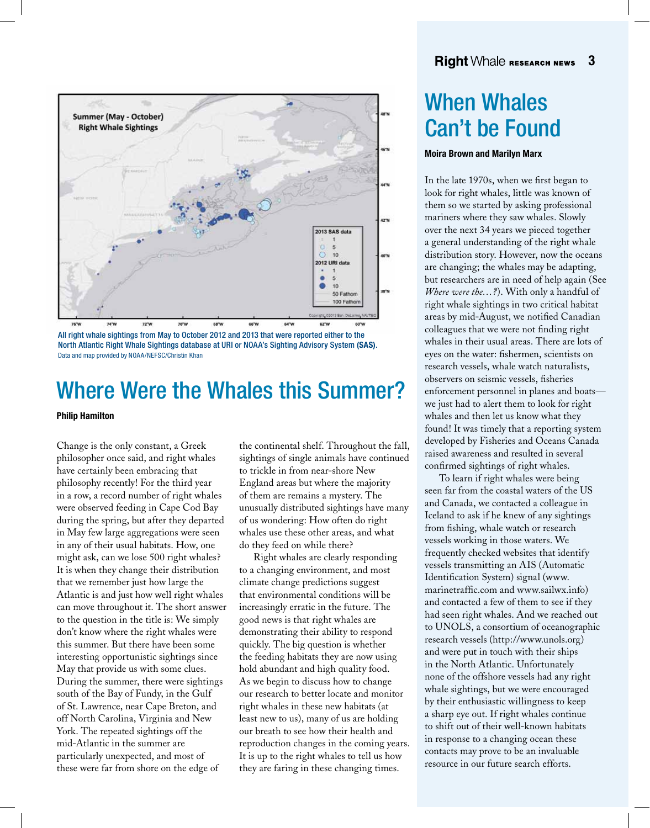

All right whale sightings from May to October 2012 and 2013 that were reported either to the North Atlantic Right Whale Sightings database at URI or NOAA's Sighting Advisory System (SAS). Data and map provided by NOAA/NEFSC/Christin Khan

# Where Were the Whales this Summer?

### Philip Hamilton

Change is the only constant, a Greek philosopher once said, and right whales have certainly been embracing that philosophy recently! For the third year in a row, a record number of right whales were observed feeding in Cape Cod Bay during the spring, but after they departed in May few large aggregations were seen in any of their usual habitats. How, one might ask, can we lose 500 right whales? It is when they change their distribution that we remember just how large the Atlantic is and just how well right whales can move throughout it. The short answer to the question in the title is: We simply don't know where the right whales were this summer. But there have been some interesting opportunistic sightings since May that provide us with some clues. During the summer, there were sightings south of the Bay of Fundy, in the Gulf of St. Lawrence, near Cape Breton, and off North Carolina, Virginia and New York. The repeated sightings off the mid-Atlantic in the summer are particularly unexpected, and most of these were far from shore on the edge of

the continental shelf. Throughout the fall, sightings of single animals have continued to trickle in from near-shore New England areas but where the majority of them are remains a mystery. The unusually distributed sightings have many of us wondering: How often do right whales use these other areas, and what do they feed on while there?

Right whales are clearly responding to a changing environment, and most climate change predictions suggest that environmental conditions will be increasingly erratic in the future. The good news is that right whales are demonstrating their ability to respond quickly. The big question is whether the feeding habitats they are now using hold abundant and high quality food. As we begin to discuss how to change our research to better locate and monitor right whales in these new habitats (at least new to us), many of us are holding our breath to see how their health and reproduction changes in the coming years. It is up to the right whales to tell us how they are faring in these changing times.

# When Whales Can't be Found

### Moira Brown and Marilyn Marx

In the late 1970s, when we first began to look for right whales, little was known of them so we started by asking professional mariners where they saw whales. Slowly over the next 34 years we pieced together a general understanding of the right whale distribution story. However, now the oceans are changing; the whales may be adapting, but researchers are in need of help again (See *Where were the…?*). With only a handful of right whale sightings in two critical habitat areas by mid-August, we notified Canadian colleagues that we were not finding right whales in their usual areas. There are lots of eyes on the water: fishermen, scientists on research vessels, whale watch naturalists, observers on seismic vessels, fisheries enforcement personnel in planes and boats we just had to alert them to look for right whales and then let us know what they found! It was timely that a reporting system developed by Fisheries and Oceans Canada raised awareness and resulted in several confirmed sightings of right whales.

To learn if right whales were being seen far from the coastal waters of the US and Canada, we contacted a colleague in Iceland to ask if he knew of any sightings from fishing, whale watch or research vessels working in those waters. We frequently checked websites that identify vessels transmitting an AIS (Automatic Identification System) signal (www. marinetraffic.com and www.sailwx.info) and contacted a few of them to see if they had seen right whales. And we reached out to UNOLS, a consortium of oceanographic research vessels (http://www.unols.org) and were put in touch with their ships in the North Atlantic. Unfortunately none of the offshore vessels had any right whale sightings, but we were encouraged by their enthusiastic willingness to keep a sharp eye out. If right whales continue to shift out of their well-known habitats in response to a changing ocean these contacts may prove to be an invaluable resource in our future search efforts.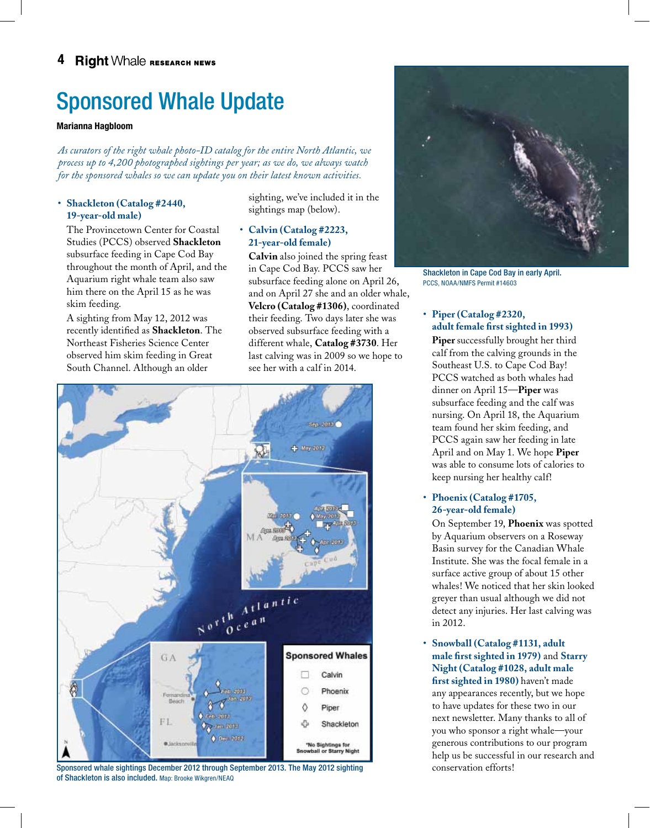# Sponsored Whale Update

### Marianna Hagbloom

*As curators of the right whale photo-ID catalog for the entire North Atlantic, we process up to 4,200 photographed sightings per year; as we do, we always watch for the sponsored whales so we can update you on their latest known activities.*

## • **Shackleton (Catalog #2440, 19-year-old male)**

The Provincetown Center for Coastal Studies (PCCS) observed **Shackleton** subsurface feeding in Cape Cod Bay throughout the month of April, and the Aquarium right whale team also saw him there on the April 15 as he was skim feeding.

A sighting from May 12, 2012 was recently identified as **Shackleton**. The Northeast Fisheries Science Center observed him skim feeding in Great South Channel. Although an older

sighting, we've included it in the sightings map (below).

# • **Calvin (Catalog #2223, 21-year-old female)**

**Calvin** also joined the spring feast in Cape Cod Bay. PCCS saw her subsurface feeding alone on April 26, and on April 27 she and an older whale, **Velcro (Catalog #1306)**, coordinated their feeding. Two days later she was observed subsurface feeding with a different whale, **Catalog #3730**. Her last calving was in 2009 so we hope to see her with a calf in 2014.



Sponsored whale sightings December 2012 through September 2013. The May 2012 sighting of Shackleton is also included. Map: Brooke Wikgren/NEAQ



Shackleton in Cape Cod Bay in early April. PCCS, NOAA/NMFS Permit #14603

### • **Piper (Catalog #2320, adult female first sighted in 1993)**

**Piper** successfully brought her third calf from the calving grounds in the Southeast U.S. to Cape Cod Bay! PCCS watched as both whales had dinner on April 15—**Piper** was subsurface feeding and the calf was nursing. On April 18, the Aquarium team found her skim feeding, and PCCS again saw her feeding in late April and on May 1. We hope **Piper**  was able to consume lots of calories to keep nursing her healthy calf!

### • **Phoenix (Catalog #1705, 26-year-old female)**

On September 19, **Phoenix** was spotted by Aquarium observers on a Roseway Basin survey for the Canadian Whale Institute. She was the focal female in a surface active group of about 15 other whales! We noticed that her skin looked greyer than usual although we did not detect any injuries. Her last calving was in 2012.

• **Snowball (Catalog #1131, adult male first sighted in 1979)** and **Starry Night (Catalog #1028, adult male first sighted in 1980)** haven't made any appearances recently, but we hope to have updates for these two in our next newsletter. Many thanks to all of you who sponsor a right whale—your generous contributions to our program help us be successful in our research and conservation efforts!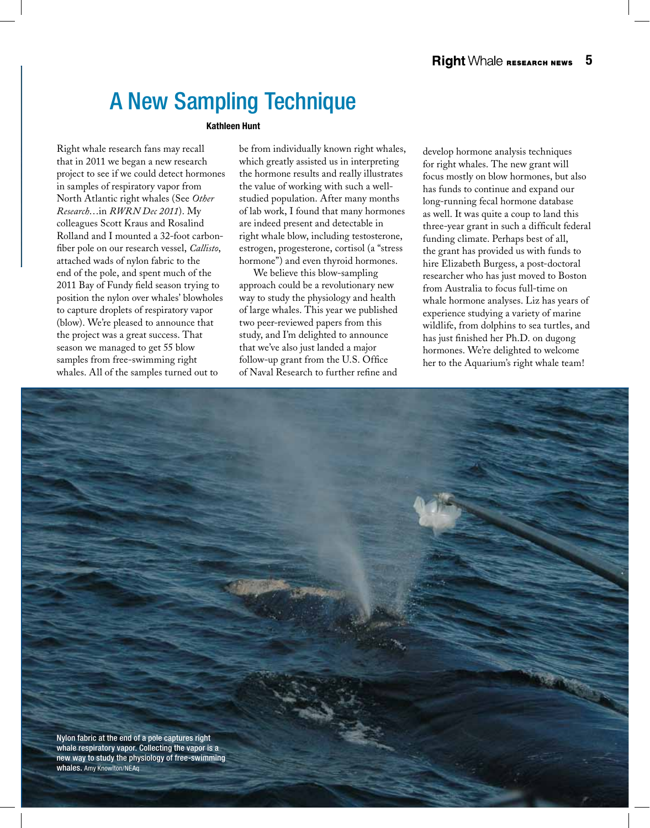# A New Sampling Technique

### Kathleen Hunt

Right whale research fans may recall that in 2011 we began a new research project to see if we could detect hormones in samples of respiratory vapor from North Atlantic right whales (See *Other Research*…in *RWRN Dec 2011*). My colleagues Scott Kraus and Rosalind Rolland and I mounted a 32-foot carbonfiber pole on our research vessel, *Callisto*, attached wads of nylon fabric to the end of the pole, and spent much of the 2011 Bay of Fundy field season trying to position the nylon over whales' blowholes to capture droplets of respiratory vapor (blow). We're pleased to announce that the project was a great success. That season we managed to get 55 blow samples from free-swimming right whales. All of the samples turned out to

be from individually known right whales, which greatly assisted us in interpreting the hormone results and really illustrates the value of working with such a wellstudied population. After many months of lab work, I found that many hormones are indeed present and detectable in right whale blow, including testosterone, estrogen, progesterone, cortisol (a "stress hormone") and even thyroid hormones.

We believe this blow-sampling approach could be a revolutionary new way to study the physiology and health of large whales. This year we published two peer-reviewed papers from this study, and I'm delighted to announce that we've also just landed a major follow-up grant from the U.S. Office of Naval Research to further refine and

develop hormone analysis techniques for right whales. The new grant will focus mostly on blow hormones, but also has funds to continue and expand our long-running fecal hormone database as well. It was quite a coup to land this three-year grant in such a difficult federal funding climate. Perhaps best of all, the grant has provided us with funds to hire Elizabeth Burgess, a post-doctoral researcher who has just moved to Boston from Australia to focus full-time on whale hormone analyses. Liz has years of experience studying a variety of marine wildlife, from dolphins to sea turtles, and has just finished her Ph.D. on dugong hormones. We're delighted to welcome her to the Aquarium's right whale team!

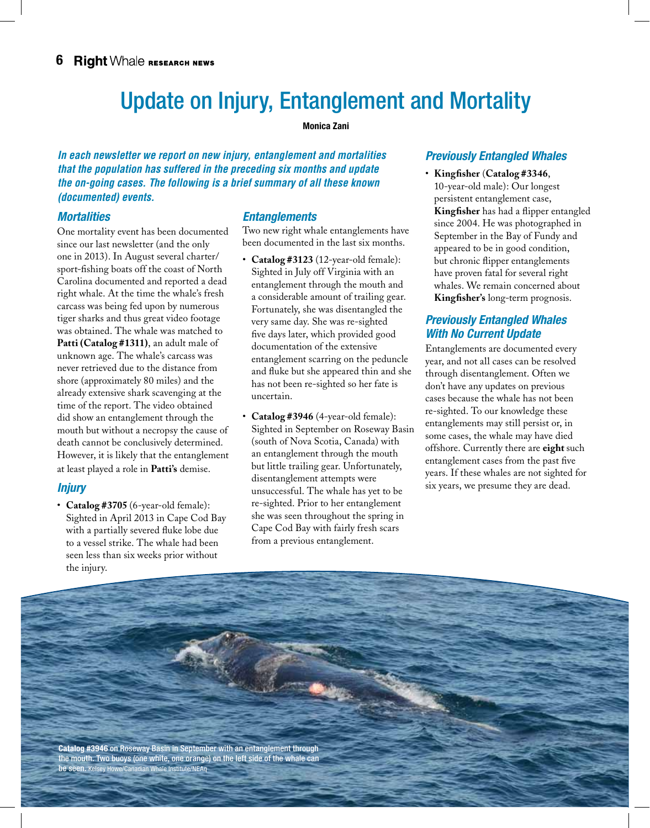# Update on Injury, Entanglement and Mortality

### Monica Zani

*In each newsletter we report on new injury, entanglement and mortalities that the population has suffered in the preceding six months and update the on-going cases. The following is a brief summary of all these known (documented) events.*

# *Mortalities*

One mortality event has been documented since our last newsletter (and the only one in 2013). In August several charter/ sport-fishing boats off the coast of North Carolina documented and reported a dead right whale. At the time the whale's fresh carcass was being fed upon by numerous tiger sharks and thus great video footage was obtained. The whale was matched to **Patti (Catalog #1311)**, an adult male of unknown age. The whale's carcass was never retrieved due to the distance from shore (approximately 80 miles) and the already extensive shark scavenging at the time of the report. The video obtained did show an entanglement through the mouth but without a necropsy the cause of death cannot be conclusively determined. However, it is likely that the entanglement at least played a role in **Patti's** demise.

# *Injury*

• **Catalog #3705** (6-year-old female): Sighted in April 2013 in Cape Cod Bay with a partially severed fluke lobe due to a vessel strike. The whale had been seen less than six weeks prior without the injury.

# *Entanglements*

Two new right whale entanglements have been documented in the last six months.

- • **Catalog #3123** (12-year-old female): Sighted in July off Virginia with an entanglement through the mouth and a considerable amount of trailing gear. Fortunately, she was disentangled the very same day. She was re-sighted five days later, which provided good documentation of the extensive entanglement scarring on the peduncle and fluke but she appeared thin and she has not been re-sighted so her fate is uncertain.
- • **Catalog #3946** (4-year-old female): Sighted in September on Roseway Basin (south of Nova Scotia, Canada) with an entanglement through the mouth but little trailing gear. Unfortunately, disentanglement attempts were unsuccessful. The whale has yet to be re-sighted. Prior to her entanglement she was seen throughout the spring in Cape Cod Bay with fairly fresh scars from a previous entanglement.

# *Previously Entangled Whales*

• **Kingfisher** (**Catalog #3346**, 10-year-old male): Our longest persistent entanglement case, **Kingfisher** has had a flipper entangled since 2004. He was photographed in September in the Bay of Fundy and appeared to be in good condition, but chronic flipper entanglements have proven fatal for several right whales. We remain concerned about **Kingfisher's** long-term prognosis.

# *Previously Entangled Whales With No Current Update*

Entanglements are documented every year, and not all cases can be resolved through disentanglement. Often we don't have any updates on previous cases because the whale has not been re-sighted. To our knowledge these entanglements may still persist or, in some cases, the whale may have died offshore. Currently there are **eight** such entanglement cases from the past five years. If these whales are not sighted for six years, we presume they are dead.

Catalog #3946 on Roseway Basin in September with an entanglement through the mouth. Two buoys (one white, one orange) on the left side of the whale can be seen. Kelsey Howe/Canadian Whale Institute/NEAq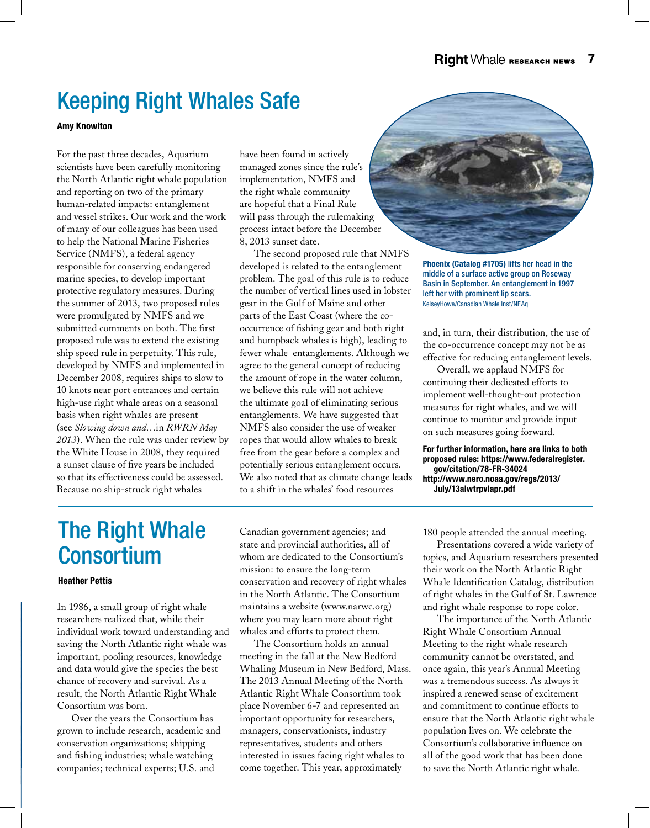# Keeping Right Whales Safe

Amy Knowlton

For the past three decades, Aquarium scientists have been carefully monitoring the North Atlantic right whale population and reporting on two of the primary human-related impacts: entanglement and vessel strikes. Our work and the work of many of our colleagues has been used to help the National Marine Fisheries Service (NMFS), a federal agency responsible for conserving endangered marine species, to develop important protective regulatory measures. During the summer of 2013, two proposed rules were promulgated by NMFS and we submitted comments on both. The first proposed rule was to extend the existing ship speed rule in perpetuity. This rule, developed by NMFS and implemented in December 2008, requires ships to slow to 10 knots near port entrances and certain high-use right whale areas on a seasonal basis when right whales are present (see *Slowing down and…*in *RWRN May 2013*). When the rule was under review by the White House in 2008, they required a sunset clause of five years be included so that its effectiveness could be assessed. Because no ship-struck right whales

have been found in actively managed zones since the rule's implementation, NMFS and the right whale community are hopeful that a Final Rule will pass through the rulemaking process intact before the December 8, 2013 sunset date.

The second proposed rule that NMFS developed is related to the entanglement problem. The goal of this rule is to reduce the number of vertical lines used in lobster gear in the Gulf of Maine and other parts of the East Coast (where the cooccurrence of fishing gear and both right and humpback whales is high), leading to fewer whale entanglements. Although we agree to the general concept of reducing the amount of rope in the water column, we believe this rule will not achieve the ultimate goal of eliminating serious entanglements. We have suggested that NMFS also consider the use of weaker ropes that would allow whales to break free from the gear before a complex and potentially serious entanglement occurs. We also noted that as climate change leads to a shift in the whales' food resources



Phoenix (Catalog #1705) lifts her head in the middle of a surface active group on Roseway Basin in September. An entanglement in 1997 left her with prominent lip scars. KelseyHowe/Canadian Whale Inst/NEAq

and, in turn, their distribution, the use of the co-occurrence concept may not be as effective for reducing entanglement levels.

Overall, we applaud NMFS for continuing their dedicated efforts to implement well-thought-out protection measures for right whales, and we will continue to monitor and provide input on such measures going forward.

For further information, here are links to both proposed rules: https://www.federalregister. gov/citation/78-FR-34024 http://www.nero.noaa.gov/regs/2013/ July/13alwtrpvlapr.pdf

# The Right Whale Consortium

### Heather Pettis

In 1986, a small group of right whale researchers realized that, while their individual work toward understanding and saving the North Atlantic right whale was important, pooling resources, knowledge and data would give the species the best chance of recovery and survival. As a result, the North Atlantic Right Whale Consortium was born.

Over the years the Consortium has grown to include research, academic and conservation organizations; shipping and fishing industries; whale watching companies; technical experts; U.S. and

Canadian government agencies; and state and provincial authorities, all of whom are dedicated to the Consortium's mission: to ensure the long-term conservation and recovery of right whales in the North Atlantic. The Consortium maintains a website (www.narwc.org) where you may learn more about right whales and efforts to protect them.

The Consortium holds an annual meeting in the fall at the New Bedford Whaling Museum in New Bedford, Mass. The 2013 Annual Meeting of the North Atlantic Right Whale Consortium took place November 6-7 and represented an important opportunity for researchers, managers, conservationists, industry representatives, students and others interested in issues facing right whales to come together. This year, approximately

180 people attended the annual meeting.

Presentations covered a wide variety of topics, and Aquarium researchers presented their work on the North Atlantic Right Whale Identification Catalog, distribution of right whales in the Gulf of St. Lawrence and right whale response to rope color.

The importance of the North Atlantic Right Whale Consortium Annual Meeting to the right whale research community cannot be overstated, and once again, this year's Annual Meeting was a tremendous success. As always it inspired a renewed sense of excitement and commitment to continue efforts to ensure that the North Atlantic right whale population lives on. We celebrate the Consortium's collaborative influence on all of the good work that has been done to save the North Atlantic right whale.